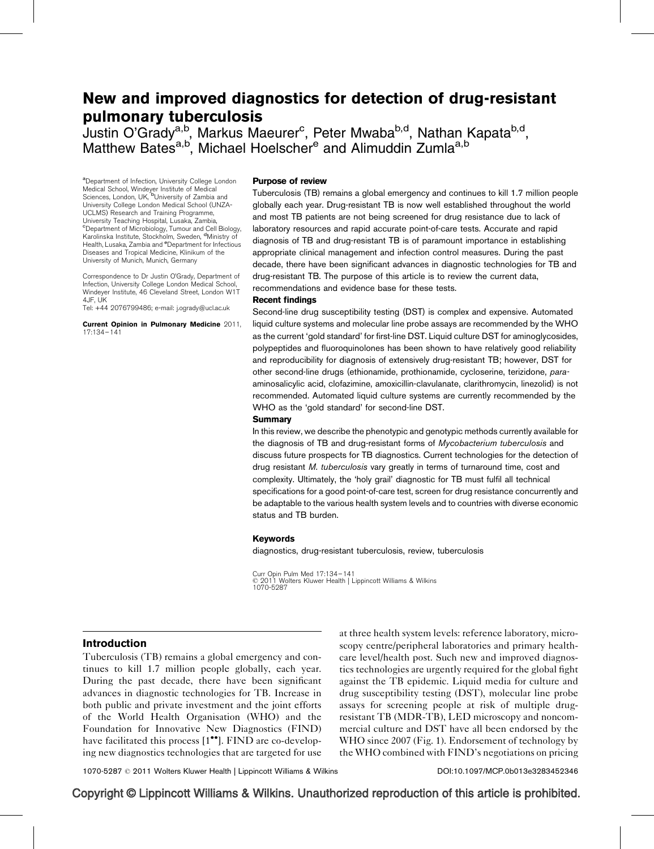# New and improved diagnostics for detection of drug-resistant pulmonary tuberculosis

**Justin O'Grady<sup>a,b</sup>, Markus Maeurer<sup>c</sup>, Peter Mwaba<sup>b,d</sup>, Nathan Kapata<sup>b,d</sup>,** Matthew Bates<sup>a,b</sup>, Michael Hoelscher<sup>e</sup> and Alimuddin Zumla<sup>a,b</sup>

<sup>a</sup>Department of Infection, University College London Medical School, Windeyer Institute of Medical<br>Sciences, London, UK, <sup>b</sup>University of Zambia and University College London Medical School (UNZA-UCLMS) Research and Training Programme, University Teaching Hospital, Lusaka, Zambia, c Department of Microbiology, Tumour and Cell Biology, Karolinska Institute, Stockholm, Sweden, <sup>d</sup>Ministry of Health, Lusaka, Zambia and <sup>e</sup>Department for Infectious Diseases and Tropical Medicine, Klinikum of the University of Munich, Munich, Germany

Correspondence to Dr Justin O'Grady, Department of Infection, University College London Medical School, Windeyer Institute, 46 Cleveland Street, London W1T 4JF, UK Tel: +44 2076799486; e-mail: [j.ogrady@ucl.ac.uk](mailto:j.ogrady@ucl.ac.uk)

Current Opinion in Pulmonary Medicine 2011, 17:134–141

### Purpose of review

Tuberculosis (TB) remains a global emergency and continues to kill 1.7 million people globally each year. Drug-resistant TB is now well established throughout the world and most TB patients are not being screened for drug resistance due to lack of laboratory resources and rapid accurate point-of-care tests. Accurate and rapid diagnosis of TB and drug-resistant TB is of paramount importance in establishing appropriate clinical management and infection control measures. During the past decade, there have been significant advances in diagnostic technologies for TB and drug-resistant TB. The purpose of this article is to review the current data, recommendations and evidence base for these tests.

#### Recent findings

Second-line drug susceptibility testing (DST) is complex and expensive. Automated liquid culture systems and molecular line probe assays are recommended by the WHO as the current 'gold standard' for first-line DST. Liquid culture DST for aminoglycosides, polypeptides and fluoroquinolones has been shown to have relatively good reliability and reproducibility for diagnosis of extensively drug-resistant TB; however, DST for other second-line drugs (ethionamide, prothionamide, cycloserine, terizidone, paraaminosalicylic acid, clofazimine, amoxicillin-clavulanate, clarithromycin, linezolid) is not recommended. Automated liquid culture systems are currently recommended by the WHO as the 'gold standard' for second-line DST.

#### **Summary**

In this review, we describe the phenotypic and genotypic methods currently available for the diagnosis of TB and drug-resistant forms of Mycobacterium tuberculosis and discuss future prospects for TB diagnostics. Current technologies for the detection of drug resistant M. tuberculosis vary greatly in terms of turnaround time, cost and complexity. Ultimately, the 'holy grail' diagnostic for TB must fulfil all technical specifications for a good point-of-care test, screen for drug resistance concurrently and be adaptable to the various health system levels and to countries with diverse economic status and TB burden.

#### Keywords

diagnostics, drug-resistant tuberculosis, review, tuberculosis

Curr Opin Pulm Med 17:134–141 2011 Wolters Kluwer Health | Lippincott Williams & Wilkins 1070-5287

#### Introduction

Tuberculosis (TB) remains a global emergency and continues to kill 1.7 million people globally, each year. During the past decade, there have been significant advances in diagnostic technologies for TB. Increase in both public and private investment and the joint efforts of the World Health Organisation (WHO) and the Foundation for Innovative New Diagnostics (FIND) have facilitated this process  $[1^{\bullet\bullet}]$  $[1^{\bullet\bullet}]$  $[1^{\bullet\bullet}]$ . FIND are co-developing new diagnostics technologies that are targeted for use at three health system levels: reference laboratory, microscopy centre/peripheral laboratories and primary healthcare level/health post. Such new and improved diagnostics technologies are urgently required for the global fight against the TB epidemic. Liquid media for culture and drug susceptibility testing (DST), molecular line probe assays for screening people at risk of multiple drugresistant TB (MDR-TB), LED microscopy and noncommercial culture and DST have all been endorsed by the WHO since 2007 [\(Fig. 1](#page-1-0)). Endorsement of technology by the WHO combined with FIND's negotiations on pricing

1070-5287 © 2011 Wolters Kluwer Health | Lippincott Williams & Wilkins DOI:[10.1097/MCP.0b013e3283452346](http://dx.doi.org/10.1097/MCP.0b013e3283452346)

Copyright © Lippincott Williams & Wilkins. Unauthorized reproduction of this article is prohibited.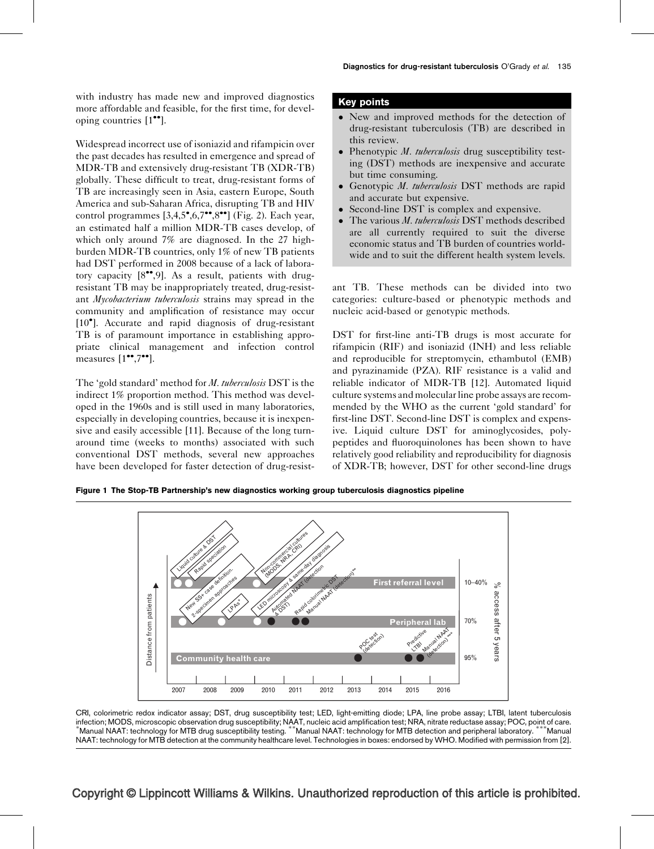<span id="page-1-0"></span>with industry has made new and improved diagnostics more affordable and feasible, for the first time, for developing countries  $[1^{\bullet \bullet}].$  $[1^{\bullet \bullet}].$  $[1^{\bullet \bullet}].$  $[1^{\bullet \bullet}].$ 

Widespread incorrect use of isoniazid and rifampicin over the past decades has resulted in emergence and spread of MDR-TB and extensively drug-resistant TB (XDR-TB) globally. These difficult to treat, drug-resistant forms of TB are increasingly seen in Asia, eastern Europe, South America and sub-Saharan Africa, disrupting TB and HIV control programmes  $[3,4,5^{\bullet},6,7^{\bullet\bullet},8^{\bullet\bullet}]$  $[3,4,5^{\bullet},6,7^{\bullet\bullet},8^{\bullet\bullet}]$  $[3,4,5^{\bullet},6,7^{\bullet\bullet},8^{\bullet\bullet}]$  $[3,4,5^{\bullet},6,7^{\bullet\bullet},8^{\bullet\bullet}]$  $[3,4,5^{\bullet},6,7^{\bullet\bullet},8^{\bullet\bullet}]$  $[3,4,5^{\bullet},6,7^{\bullet\bullet},8^{\bullet\bullet}]$  $[3,4,5^{\bullet},6,7^{\bullet\bullet},8^{\bullet\bullet}]$  ([Fig. 2\)](#page-2-0). Each year, an estimated half a million MDR-TB cases develop, of which only around 7% are diagnosed. In the 27 highburden MDR-TB countries, only 1% of new TB patients had DST performed in 2008 because of a lack of laboratory capacity  $[8\degree, 9]$  $[8\degree, 9]$ . As a result, patients with drugresistant TB may be inappropriately treated, drug-resistant *Mycobacterium tuberculosis* strains may spread in the community and amplification of resistance may occur [\[10](#page-6-0)<sup>°</sup>[\]](#page-6-0). Accurate and rapid diagnosis of drug-resistant TB is of paramount importance in establishing appropriate clinical management and infection control measures  $[1^{\bullet\bullet},7^{\bullet\bullet}].$  $[1^{\bullet\bullet},7^{\bullet\bullet}].$  $[1^{\bullet\bullet},7^{\bullet\bullet}].$  $[1^{\bullet\bullet},7^{\bullet\bullet}].$  $[1^{\bullet\bullet},7^{\bullet\bullet}].$ 

The 'gold standard' method for *M. tuberculosis* DST is the indirect 1% proportion method. This method was developed in the 1960s and is still used in many laboratories, especially in developing countries, because it is inexpensive and easily accessible [\[11\].](#page-6-0) Because of the long turnaround time (weeks to months) associated with such conventional DST methods, several new approaches have been developed for faster detection of drug-resist-

### Key points

- New and improved methods for the detection of drug-resistant tuberculosis (TB) are described in this review.
- $\bullet$  Phenotypic *M. tuberculosis* drug susceptibility testing (DST) methods are inexpensive and accurate but time consuming.
- Genotypic *M. tuberculosis* DST methods are rapid and accurate but expensive.
- Second-line DST is complex and expensive.
- $\bullet$  The various *M. tuberculosis* DST methods described are all currently required to suit the diverse economic status and TB burden of countries worldwide and to suit the different health system levels.

ant TB. These methods can be divided into two categories: culture-based or phenotypic methods and nucleic acid-based or genotypic methods.

DST for first-line anti-TB drugs is most accurate for rifampicin (RIF) and isoniazid (INH) and less reliable and reproducible for streptomycin, ethambutol (EMB) and pyrazinamide (PZA). RIF resistance is a valid and reliable indicator of MDR-TB [\[12\]](#page-6-0). Automated liquid culture systems and molecular line probe assays are recommended by the WHO as the current 'gold standard' for first-line DST. Second-line DST is complex and expensive. Liquid culture DST for aminoglycosides, polypeptides and fluoroquinolones has been shown to have relatively good reliability and reproducibility for diagnosis of XDR-TB; however, DST for other second-line drugs

Figure 1 The Stop-TB Partnership's new diagnostics working group tuberculosis diagnostics pipeline



CRI, colorimetric redox indicator assay; DST, drug susceptibility test; LED, light-emitting diode; LPA, line probe assay; LTBI, latent tuberculosis infection; MODS, microscopic observation drug susceptibility; NAAT, nucleic acid amplification test; NRA, nitrate reductase assay; POC, point of care.<br>\*Manual NAAT: technology for MTB drug susceptibility testing. \*\*Manual NAAT: technology for MTB detection at the community healthcare level. Technologies in boxes: endorsed by WHO. Modified with permission from [\[2\]](#page-6-0).

# Copyright © Lippincott Williams & Wilkins. Unauthorized reproduction of this article is prohibited.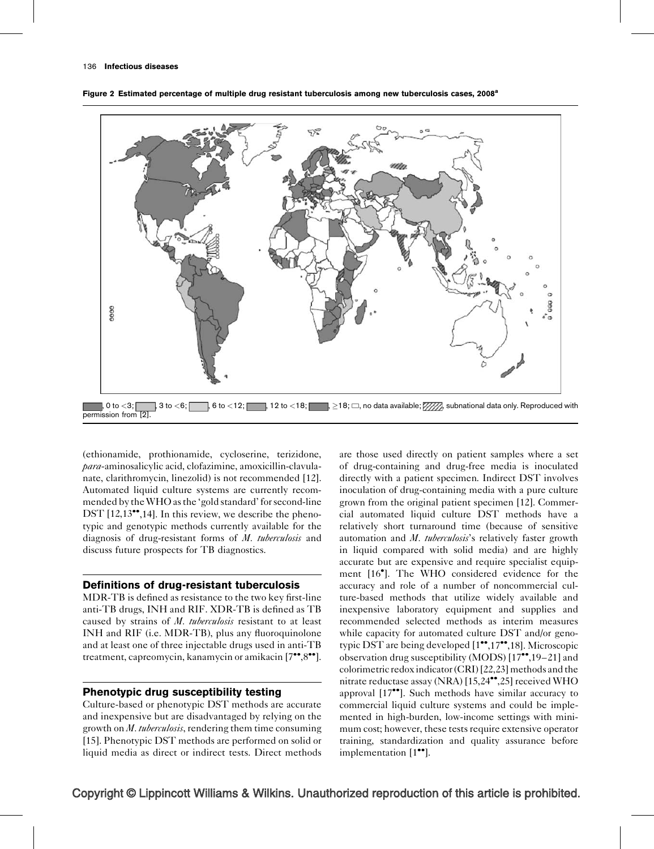

<span id="page-2-0"></span>Figure 2 Estimated percentage of multiple drug resistant tuberculosis among new tuberculosis cases, 2008<sup>a</sup>

(ethionamide, prothionamide, cycloserine, terizidone, para-aminosalicylic acid, clofazimine, amoxicillin-clavulanate, clarithromycin, linezolid) is not recommended [\[12\]](#page-6-0). Automated liquid culture systems are currently recommended by theWHO as the 'gold standard' for second-line DST  $[12,13\bullet$  $[12,13\bullet$ <sup>o</sup>[,14\]](#page-6-0). In this review, we describe the phenotypic and genotypic methods currently available for the diagnosis of drug-resistant forms of M. tuberculosis and discuss future prospects for TB diagnostics.

### Definitions of drug-resistant tuberculosis

MDR-TB is defined as resistance to the two key first-line anti-TB drugs, INH and RIF. XDR-TB is defined as TB caused by strains of *M. tuberculosis* resistant to at least INH and RIF (i.e. MDR-TB), plus any fluoroquinolone and at least one of three injectable drugs used in anti-TB treatment, capreomycin, kanamycin or amikacin  $[7^{\bullet\bullet}, 8^{\bullet\bullet}]$  $[7^{\bullet\bullet}, 8^{\bullet\bullet}]$  $[7^{\bullet\bullet}, 8^{\bullet\bullet}]$ .

### Phenotypic drug susceptibility testing

Culture-based or phenotypic DST methods are accurate and inexpensive but are disadvantaged by relying on the growth on *M. tuberculosis*, rendering them time consuming [\[15\]](#page-6-0). Phenotypic DST methods are performed on solid or liquid media as direct or indirect tests. Direct methods

are those used directly on patient samples where a set of drug-containing and drug-free media is inoculated directly with a patient specimen. Indirect DST involves inoculation of drug-containing media with a pure culture grown from the original patient specimen [\[12\].](#page-6-0) Commercial automated liquid culture DST methods have a relatively short turnaround time (because of sensitive automation and *M. tuberculosis*'s relatively faster growth in liquid compared with solid media) and are highly accurate but are expensive and require specialist equipment [\[16](#page-6-0) [\]](#page-6-0). The WHO considered evidence for the accuracy and role of a number of noncommercial culture-based methods that utilize widely available and inexpensive laboratory equipment and supplies and recommended selected methods as interim measures while capacity for automated culture DST and/or genotypic DST are being developed  $[1^{\bullet\bullet},17^{\bullet\bullet},18]$  $[1^{\bullet\bullet},17^{\bullet\bullet},18]$  $[1^{\bullet\bullet},17^{\bullet\bullet},18]$  $[1^{\bullet\bullet},17^{\bullet\bullet},18]$ . Microscopic observation drug susceptibility (MODS)  $[17$ <sup>\*\*</sup>[,19–21\]](#page-6-0) and colorimetric redox indicator (CRI) [\[22,23\]](#page-6-0) methods and the nitrate reductase assay (NRA)  $[15,24^{\bullet\bullet},25]$  $[15,24^{\bullet\bullet},25]$  $[15,24^{\bullet\bullet},25]$  received WHO approval  $[17\text{'''}]$  $[17\text{'''}]$  $[17\text{'''}]$ . Such methods have similar accuracy to commercial liquid culture systems and could be implemented in high-burden, low-income settings with minimum cost; however, these tests require extensive operator training, standardization and quality assurance before implementation  $[1^{\bullet\bullet}]$  $[1^{\bullet\bullet}]$ .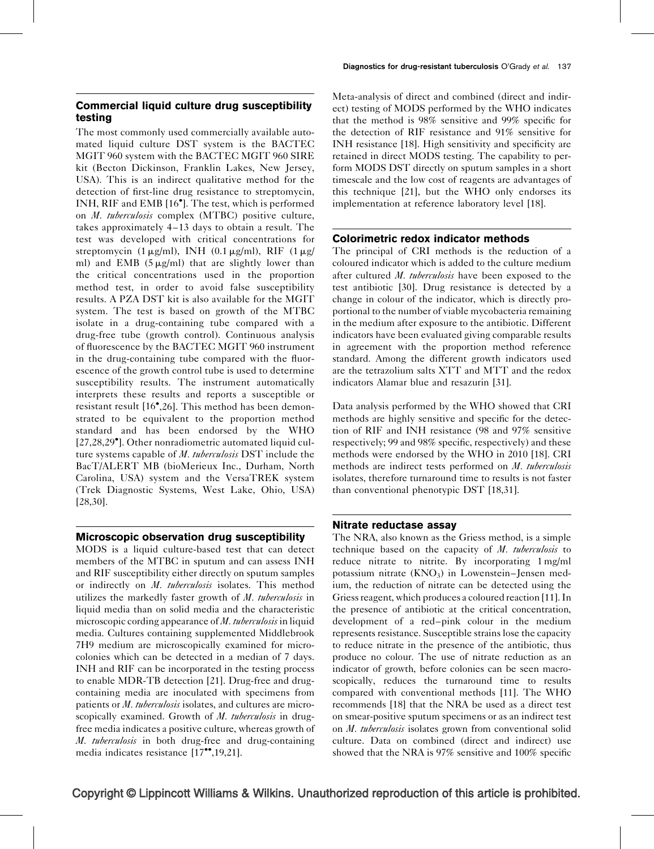# Commercial liquid culture drug susceptibility testing

The most commonly used commercially available automated liquid culture DST system is the BACTEC MGIT 960 system with the BACTEC MGIT 960 SIRE kit (Becton Dickinson, Franklin Lakes, New Jersey, USA). This is an indirect qualitative method for the detection of first-line drug resistance to streptomycin, INH, RIF and EMB [\[16](#page-6-0)<sup>°</sup>[\]](#page-6-0). The test, which is performed on M. tuberculosis complex (MTBC) positive culture, takes approximately 4–13 days to obtain a result. The test was developed with critical concentrations for streptomycin (1  $\mu$ g/ml), INH (0.1  $\mu$ g/ml), RIF (1  $\mu$ g/ ml) and EMB  $(5 \mu g/ml)$  that are slightly lower than the critical concentrations used in the proportion method test, in order to avoid false susceptibility results. A PZA DST kit is also available for the MGIT system. The test is based on growth of the MTBC isolate in a drug-containing tube compared with a drug-free tube (growth control). Continuous analysis of fluorescence by the BACTEC MGIT 960 instrument in the drug-containing tube compared with the fluorescence of the growth control tube is used to determine susceptibility results. The instrument automatically interprets these results and reports a susceptible or resistant result [\[16](#page-6-0) [,26\].](#page-6-0) This method has been demonstrated to be equivalent to the proportion method standard and has been endorsed by the WHO [\[27,28,29](#page-6-0) [\]](#page-6-0). Other nonradiometric automated liquid culture systems capable of M. tuberculosis DST include the BacT/ALERT MB (bioMerieux Inc., Durham, North Carolina, USA) system and the VersaTREK system (Trek Diagnostic Systems, West Lake, Ohio, USA) [\[28,30\].](#page-6-0)

# Microscopic observation drug susceptibility

MODS is a liquid culture-based test that can detect members of the MTBC in sputum and can assess INH and RIF susceptibility either directly on sputum samples or indirectly on M. tuberculosis isolates. This method utilizes the markedly faster growth of M. tuberculosis in liquid media than on solid media and the characteristic microscopic cording appearance of *M. tuberculosis* in liquid media. Cultures containing supplemented Middlebrook 7H9 medium are microscopically examined for microcolonies which can be detected in a median of 7 days. INH and RIF can be incorporated in the testing process to enable MDR-TB detection [\[21\]](#page-6-0). Drug-free and drugcontaining media are inoculated with specimens from patients or *M. tuberculosis* isolates, and cultures are microscopically examined. Growth of *M. tuberculosis* in drugfree media indicates a positive culture, whereas growth of M. tuberculosis in both drug-free and drug-containing media indicates resistance  $[17$ <sup>\*\*</sup>[,19,21\]](#page-6-0).

Meta-analysis of direct and combined (direct and indirect) testing of MODS performed by the WHO indicates that the method is 98% sensitive and 99% specific for the detection of RIF resistance and 91% sensitive for INH resistance [\[18\].](#page-6-0) High sensitivity and specificity are retained in direct MODS testing. The capability to perform MODS DST directly on sputum samples in a short timescale and the low cost of reagents are advantages of this technique [\[21\]](#page-6-0), but the WHO only endorses its implementation at reference laboratory level [\[18\]](#page-6-0).

# Colorimetric redox indicator methods

The principal of CRI methods is the reduction of a coloured indicator which is added to the culture medium after cultured *M. tuberculosis* have been exposed to the test antibiotic [\[30\]](#page-6-0). Drug resistance is detected by a change in colour of the indicator, which is directly proportional to the number of viable mycobacteria remaining in the medium after exposure to the antibiotic. Different indicators have been evaluated giving comparable results in agreement with the proportion method reference standard. Among the different growth indicators used are the tetrazolium salts XTT and MTT and the redox indicators Alamar blue and resazurin [\[31\].](#page-6-0)

Data analysis performed by the WHO showed that CRI methods are highly sensitive and specific for the detection of RIF and INH resistance (98 and 97% sensitive respectively; 99 and 98% specific, respectively) and these methods were endorsed by the WHO in 2010 [\[18\]](#page-6-0). CRI methods are indirect tests performed on *M. tuberculosis* isolates, therefore turnaround time to results is not faster than conventional phenotypic DST [\[18,31\].](#page-6-0)

# Nitrate reductase assay

The NRA, also known as the Griess method, is a simple technique based on the capacity of M. tuberculosis to reduce nitrate to nitrite. By incorporating 1 mg/ml potassium nitrate  $(KNO<sub>3</sub>)$  in Lowenstein–Jensen medium, the reduction of nitrate can be detected using the Griess reagent, which produces a coloured reaction [\[11\]](#page-6-0). In the presence of antibiotic at the critical concentration, development of a red–pink colour in the medium represents resistance. Susceptible strains lose the capacity to reduce nitrate in the presence of the antibiotic, thus produce no colour. The use of nitrate reduction as an indicator of growth, before colonies can be seen macroscopically, reduces the turnaround time to results compared with conventional methods [\[11\].](#page-6-0) The WHO recommends [\[18\]](#page-6-0) that the NRA be used as a direct test on smear-positive sputum specimens or as an indirect test on *M. tuberculosis* isolates grown from conventional solid culture. Data on combined (direct and indirect) use showed that the NRA is 97% sensitive and 100% specific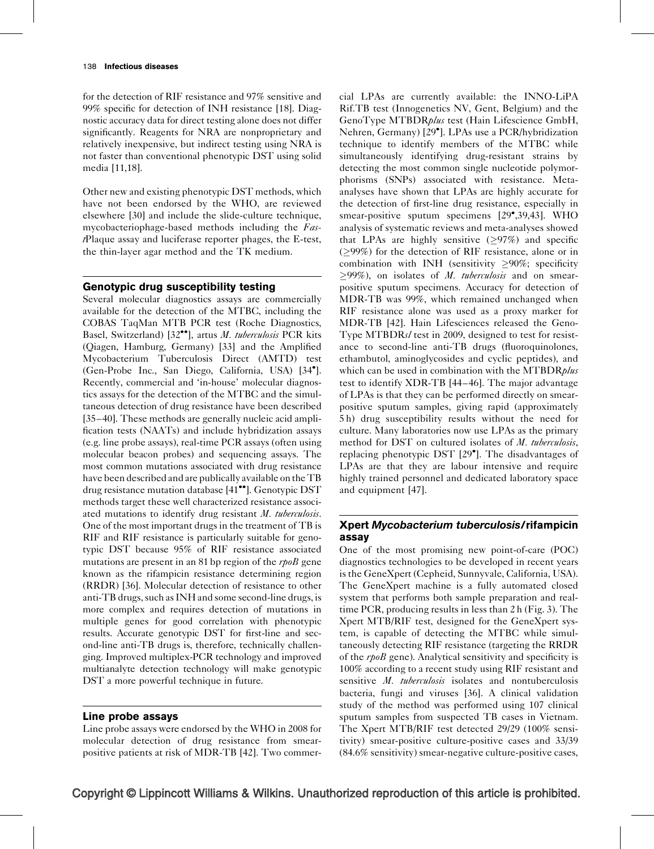for the detection of RIF resistance and 97% sensitive and 99% specific for detection of INH resistance [\[18\]](#page-6-0). Diagnostic accuracy data for direct testing alone does not differ significantly. Reagents for NRA are nonproprietary and relatively inexpensive, but indirect testing using NRA is not faster than conventional phenotypic DST using solid media [\[11,18\]](#page-6-0).

Other new and existing phenotypic DST methods, which have not been endorsed by the WHO, are reviewed elsewhere [\[30\]](#page-6-0) and include the slide-culture technique, mycobacteriophage-based methods including the FastPlaque assay and luciferase reporter phages, the E-test, the thin-layer agar method and the TK medium.

### Genotypic drug susceptibility testing

Several molecular diagnostics assays are commercially available for the detection of the MTBC, including the COBAS TaqMan MTB PCR test (Roche Diagnostics, Basel, Switzerland) [\[32](#page-6-0)<sup>••</sup>[\]](#page-6-0), artus *M. tuberculosis* PCR kits (Qiagen, Hamburg, Germany) [\[33\]](#page-6-0) and the Amplified Mycobacterium Tuberculosis Direct (AMTD) test (Gen-Probe Inc., San Diego, California, USA) [\[34](#page-6-0) [\]](#page-6-0). Recently, commercial and 'in-house' molecular diagnostics assays for the detection of the MTBC and the simultaneous detection of drug resistance have been described [\[35–40\].](#page-6-0) These methods are generally nucleic acid amplification tests (NAATs) and include hybridization assays (e.g. line probe assays), real-time PCR assays (often using molecular beacon probes) and sequencing assays. The most common mutations associated with drug resistance have been described and are publically available on the TB drug resistance mutation database [\[41](#page-7-0)<sup>••</sup>[\].](#page-7-0) Genotypic DST methods target these well characterized resistance associated mutations to identify drug resistant M. tuberculosis. One of the most important drugs in the treatment of TB is RIF and RIF resistance is particularly suitable for genotypic DST because 95% of RIF resistance associated mutations are present in an 81 bp region of the  $rpoB$  gene known as the rifampicin resistance determining region (RRDR) [\[36\].](#page-6-0) Molecular detection of resistance to other anti-TB drugs, such as INH and some second-line drugs, is more complex and requires detection of mutations in multiple genes for good correlation with phenotypic results. Accurate genotypic DST for first-line and second-line anti-TB drugs is, therefore, technically challenging. Improved multiplex-PCR technology and improved multianalyte detection technology will make genotypic DST a more powerful technique in future.

### Line probe assays

Line probe assays were endorsed by the WHO in 2008 for molecular detection of drug resistance from smearpositive patients at risk of MDR-TB [\[42\].](#page-7-0) Two commercial LPAs are currently available: the INNO-LiPA Rif.TB test (Innogenetics NV, Gent, Belgium) and the GenoType MTBDRplus test (Hain Lifescience GmbH, Nehren, Germany) [\[29](#page-6-0) [\].](#page-6-0) LPAs use a PCR/hybridization technique to identify members of the MTBC while simultaneously identifying drug-resistant strains by detecting the most common single nucleotide polymorphorisms (SNPs) associated with resistance. Metaanalyses have shown that LPAs are highly accurate for the detection of first-line drug resistance, especially in smear-positive sputum specimens [\[29](#page-6-0) [,39,43\].](#page-6-0) WHO analysis of systematic reviews and meta-analyses showed that LPAs are highly sensitive  $(>97%)$  and specific  $(299%)$  for the detection of RIF resistance, alone or in combination with INH (sensitivity  $\geq$ 90%; specificity  $\geq$ 99%), on isolates of *M. tuberculosis* and on smearpositive sputum specimens. Accuracy for detection of MDR-TB was 99%, which remained unchanged when RIF resistance alone was used as a proxy marker for MDR-TB [\[42\].](#page-7-0) Hain Lifesciences released the Geno-Type MTBDRs/ test in 2009, designed to test for resistance to second-line anti-TB drugs (fluoroquinolones, ethambutol, aminoglycosides and cyclic peptides), and which can be used in combination with the MTBDR*plus* test to identify XDR-TB [\[44–46\].](#page-7-0) The major advantage of LPAs is that they can be performed directly on smearpositive sputum samples, giving rapid (approximately 5 h) drug susceptibility results without the need for culture. Many laboratories now use LPAs as the primary method for DST on cultured isolates of *M. tuberculosis*, replacing phenotypic DST [\[29](#page-6-0) [\].](#page-6-0) The disadvantages of LPAs are that they are labour intensive and require highly trained personnel and dedicated laboratory space and equipment [\[47\]](#page-7-0).

# Xpert Mycobacterium tuberculosis/rifampicin assay

One of the most promising new point-of-care (POC) diagnostics technologies to be developed in recent years is the GeneXpert (Cepheid, Sunnyvale, California, USA). The GeneXpert machine is a fully automated closed system that performs both sample preparation and realtime PCR, producing results in less than 2 h [\(Fig. 3\)](#page-5-0). The Xpert MTB/RIF test, designed for the GeneXpert system, is capable of detecting the MTBC while simultaneously detecting RIF resistance (targeting the RRDR of the rpoB gene). Analytical sensitivity and specificity is 100% according to a recent study using RIF resistant and sensitive *M. tuberculosis* isolates and nontuberculosis bacteria, fungi and viruses [\[36\]](#page-6-0). A clinical validation study of the method was performed using 107 clinical sputum samples from suspected TB cases in Vietnam. The Xpert MTB/RIF test detected 29/29 (100% sensitivity) smear-positive culture-positive cases and 33/39 (84.6% sensitivity) smear-negative culture-positive cases,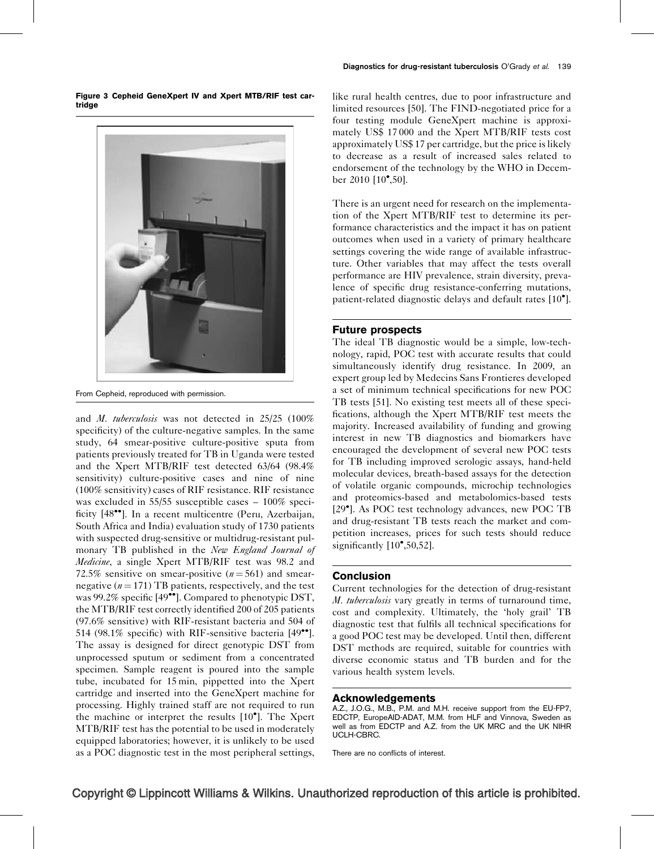<span id="page-5-0"></span>Figure 3 Cepheid GeneXpert IV and Xpert MTB/RIF test cartridge



From Cepheid, reproduced with permission.

and M. tuberculosis was not detected in 25/25 (100% specificity) of the culture-negative samples. In the same study, 64 smear-positive culture-positive sputa from patients previously treated for TB in Uganda were tested and the Xpert MTB/RIF test detected 63/64 (98.4% sensitivity) culture-positive cases and nine of nine (100% sensitivity) cases of RIF resistance. RIF resistance was excluded in 55/55 susceptible cases – 100% speci-ficity [\[48](#page-7-0)<sup>••</sup>[\]](#page-7-0). In a recent multicentre (Peru, Azerbaijan, South Africa and India) evaluation study of 1730 patients with suspected drug-sensitive or multidrug-resistant pulmonary TB published in the New England Journal of Medicine, a single Xpert MTB/RIF test was 98.2 and 72.5% sensitive on smear-positive  $(n = 561)$  and smearnegative  $(n = 171)$  TB patients, respectively, and the test was 99.2% specific [\[49](#page-7-0)\*\*[\]](#page-7-0). Compared to phenotypic DST, the MTB/RIF test correctly identified 200 of 205 patients (97.6% sensitive) with RIF-resistant bacteria and 504 of 514 (98.1% specific) with RIF-sensitive bacteria  $[49^{\bullet\bullet}]$  $[49^{\bullet\bullet}]$  $[49^{\bullet\bullet}]$ . The assay is designed for direct genotypic DST from unprocessed sputum or sediment from a concentrated specimen. Sample reagent is poured into the sample tube, incubated for 15 min, pippetted into the Xpert cartridge and inserted into the GeneXpert machine for processing. Highly trained staff are not required to run the machine or interpret the results [\[10](#page-6-0) [\].](#page-6-0) The Xpert MTB/RIF test has the potential to be used in moderately equipped laboratories; however, it is unlikely to be used as a POC diagnostic test in the most peripheral settings,

like rural health centres, due to poor infrastructure and limited resources [\[50\].](#page-7-0) The FIND-negotiated price for a four testing module GeneXpert machine is approximately US\$ 17 000 and the Xpert MTB/RIF tests cost approximately US\$ 17 per cartridge, but the price is likely to decrease as a result of increased sales related to endorsement of the technology by the WHO in Decem-ber 2010 [\[10](#page-6-0)<sup>°</sup>[,50\]](#page-6-0).

There is an urgent need for research on the implementation of the Xpert MTB/RIF test to determine its performance characteristics and the impact it has on patient outcomes when used in a variety of primary healthcare settings covering the wide range of available infrastructure. Other variables that may affect the tests overall performance are HIV prevalence, strain diversity, prevalence of specific drug resistance-conferring mutations, patient-related diagnostic delays and default rates [\[10](#page-6-0)<sup>°</sup>[\]](#page-6-0).

### Future prospects

The ideal TB diagnostic would be a simple, low-technology, rapid, POC test with accurate results that could simultaneously identify drug resistance. In 2009, an expert group led by Medecins Sans Frontieres developed a set of minimum technical specifications for new POC TB tests [\[51\].](#page-7-0) No existing test meets all of these specifications, although the Xpert MTB/RIF test meets the majority. Increased availability of funding and growing interest in new TB diagnostics and biomarkers have encouraged the development of several new POC tests for TB including improved serologic assays, hand-held molecular devices, breath-based assays for the detection of volatile organic compounds, microchip technologies and proteomics-based and metabolomics-based tests [\[29](#page-6-0) [\]](#page-6-0). As POC test technology advances, new POC TB and drug-resistant TB tests reach the market and competition increases, prices for such tests should reduce significantly [\[10](#page-6-0)°[,50,52\].](#page-6-0)

### Conclusion

Current technologies for the detection of drug-resistant M. tuberculosis vary greatly in terms of turnaround time, cost and complexity. Ultimately, the 'holy grail' TB diagnostic test that fulfils all technical specifications for a good POC test may be developed. Until then, different DST methods are required, suitable for countries with diverse economic status and TB burden and for the various health system levels.

#### Acknowledgements

A.Z., J.O.G., M.B., P.M. and M.H. receive support from the EU-FP7, EDCTP, EuropeAID-ADAT, M.M. from HLF and Vinnova, Sweden as well as from EDCTP and A.Z. from the UK MRC and the UK NIHR UCLH-CBRC.

There are no conflicts of interest.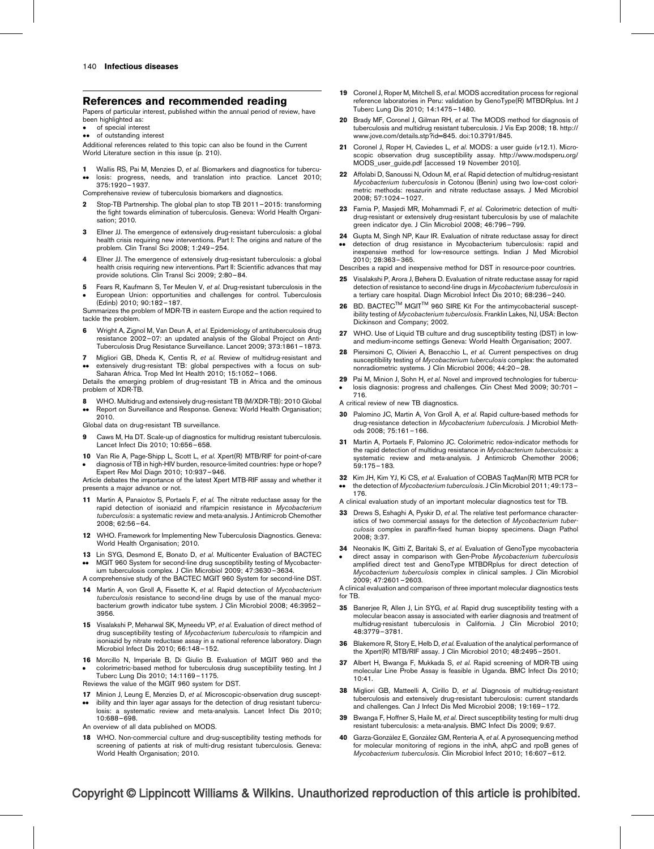#### <span id="page-6-0"></span>References and recommended reading

Papers of particular interest, published within the annual period of review, have been highlighted as:

- of special interest •• of outstanding interest
- 

Additional references related to this topic can also be found in the Current World Literature section in this issue (p. 210).

1 .. Wallis RS, Pai M, Menzies D, et al. Biomarkers and diagnostics for tuberculosis: progress, needs, and translation into practice. Lancet 2010; 375:1920–1937.

Comprehensive review of tuberculosis biomarkers and diagnostics.

- 2 Stop-TB Partnership. The global plan to stop TB 2011–2015: transforming the fight towards elimination of tuberculosis. Geneva: World Health Organisation; 2010.
- Ellner JJ. The emergence of extensively drug-resistant tuberculosis: a global health crisis requiring new interventions. Part I: The origins and nature of the problem. Clin Transl Sci 2008; 1:249–254.
- Ellner JJ. The emergence of extensively drug-resistant tuberculosis: a global health crisis requiring new interventions. Part II: Scientific advances that may provide solutions. Clin Transl Sci 2009; 2:80–84.
- 5  $\bullet$ Fears R, Kaufmann S, Ter Meulen V, et al. Drug-resistant tuberculosis in the European Union: opportunities and challenges for control. Tuberculosis (Edinb) 2010; 90:182–187.

Summarizes the problem of MDR-TB in eastern Europe and the action required to tackle the problem.

- Wright A, Zignol M, Van Deun A, et al. Epidemiology of antituberculosis drug resistance 2002–07: an updated analysis of the Global Project on Anti-Tuberculosis Drug Resistance Surveillance. Lancet 2009; 373:1861–1873.
- 7  $\bullet$ Migliori GB, Dheda K, Centis R, et al. Review of multidrug-resistant and extensively drug-resistant TB: global perspectives with a focus on sub-Saharan Africa. Trop Med Int Health 2010; 15:1052–1066.

Details the emerging problem of drug-resistant TB in Africa and the ominous problem of XDR-TB.

8 .. WHO. Multidrug and extensively drug-resistant TB (M/XDR-TB): 2010 Global Report on Surveillance and Response. Geneva: World Health Organisation; 2010.

Global data on drug-resistant TB surveillance.

- 9 Caws M, Ha DT. Scale-up of diagnostics for multidrug resistant tuberculosis. Lancet Infect Dis 2010; 10:656–658.
- 10  $\bullet$ Van Rie A, Page-Shipp L, Scott L, et al. Xpert(R) MTB/RIF for point-of-care diagnosis of TB in high-HIV burden, resource-limited countries: hype or hope? Expert Rev Mol Diagn 2010; 10:937–946.

Article debates the importance of the latest Xpert MTB-RIF assay and whether it presents a major advance or not.

- 11 Martin A, Panaiotov S, Portaels F, et al. The nitrate reductase assay for the rapid detection of isoniazid and rifampicin resistance in Mycobacterium tuberculosis: a systematic review and meta-analysis. J Antimicrob Chemother 2008; 62:56–64.
- 12 WHO. Framework for Implementing New Tuberculosis Diagnostics. Geneva: World Health Organisation; 2010.
- 13 .. Lin SYG, Desmond E, Bonato D, et al. Multicenter Evaluation of BACTEC MGIT 960 System for second-line drug susceptibility testing of Mycobacter-

ium tuberculosis complex. J Clin Microbiol 2009; 47:3630–3634. A comprehensive study of the BACTEC MGIT 960 System for second-line DST.

- 14 Martin A, von Groll A, Fissette K, et al. Rapid detection of Mycobacterium tuberculosis resistance to second-line drugs by use of the manual mycobacterium growth indicator tube system. J Clin Microbiol 2008; 46:3952– 3956.
- 15 Visalakshi P, Meharwal SK, Myneedu VP, et al. Evaluation of direct method of drug susceptibility testing of Mycobacterium tuberculosis to rifampicin and isoniazid by nitrate reductase assay in a national reference laboratory. Diagn Microbiol Infect Dis 2010; 66:148–152.
- 16 Morcillo N, Imperiale B, Di Giulio B. Evaluation of MGIT 960 and the  $\bullet$ colorimetric-based method for tuberculosis drug susceptibility testing. Int J Tuberc Lung Dis 2010; 14:1169–1175.

Reviews the value of the MGIT 960 system for DST.

- 17  $\bullet \bullet$ Minion J, Leung E, Menzies D, et al. Microscopic-observation drug susceptibility and thin layer agar assays for the detection of drug resistant tuberculosis: a systematic review and meta-analysis. Lancet Infect Dis 2010; 10:688–698.
- An overview of all data published on MODS.
- 18 WHO. Non-commercial culture and drug-susceptibility testing methods for screening of patients at risk of multi-drug resistant tuberculosis. Geneva: World Health Organisation; 2010.
- 19 Coronel J, Roper M, Mitchell S, et al. MODS accreditation process for regional reference laboratories in Peru: validation by GenoType(R) MTBDRplus. Int J Tuberc Lung Dis 2010; 14:1475–1480.
- 20 Brady MF, Coronel J, Gilman RH, et al. The MODS method for diagnosis of tuberculosis and multidrug resistant tuberculosis. J Vis Exp 2008; 18. [http://](http://dx.doi.org/) [www.jove.com/details.stp?id=845. doi:10.3791/845](http://dx.doi.org/).
- 21 Coronel J, Roper H, Caviedes L, et al. MODS: a user guide (v12.1). Microscopic observation drug susceptibility assay. [http://www.modsperu.org/](http://www.modsperu.org/MODS_user_guide.pdf) [MODS\\_user\\_guide.pdf](http://www.modsperu.org/MODS_user_guide.pdf) [accessed 19 November 2010].
- 22 Affolabi D, Sanoussi N, Odoun M, et al. Rapid detection of multidrug-resistant Mycobacterium tuberculosis in Cotonou (Benin) using two low-cost colorimetric methods: resazurin and nitrate reductase assays. J Med Microbiol 2008; 57:1024–1027.
- 23 Farnia P, Masiedi MR, Mohammadi F, et al. Colorimetric detection of multidrug-resistant or extensively drug-resistant tuberculosis by use of malachite green indicator dye. J Clin Microbiol 2008; 46:796–799.
- 24 Gupta M, Singh NP, Kaur IR. Evaluation of nitrate reductase assay for direct
- .. detection of drug resistance in Mycobacterium tuberculosis: rapid and inexpensive method for low-resource settings. Indian J Med Microbiol 2010; 28:363–365.

Describes a rapid and inexpensive method for DST in resource-poor countries.

- 25 Visalakshi P, Arora J, Behera D. Evaluation of nitrate reductase assay for rapid detection of resistance to second-line drugs in Mycobacterium tuberculosis in a tertiary care hospital. Diagn Microbiol Infect Dis 2010; 68:236–240.
- 26 BD. BACTEC™ MGIT<sup>™</sup> 960 SIRE Kit For the antimycobacterial susceptibility testing of Mycobacterium tuberculosis. Franklin Lakes, NJ, USA: Becton Dickinson and Company; 2002.
- 27 WHO. Use of Liquid TB culture and drug susceptibility testing (DST) in lowand medium-income settings Geneva: World Health Organisation; 2007.
- 28 Piersimoni C, Olivieri A, Benacchio L, et al. Current perspectives on drug susceptibility testing of Mycobacterium tuberculosis complex: the automated nonradiometric systems. J Clin Microbiol 2006; 44:20–28.
- 29 Pai M, Minion J, Sohn H, et al. Novel and improved technologies for tubercu- $\bullet$ losis diagnosis: progress and challenges. Clin Chest Med 2009; 30:701–
- A critical review of new TB diagnostics.

716.

- 30 Palomino JC, Martin A, Von Groll A, et al. Rapid culture-based methods for drug-resistance detection in Mycobacterium tuberculosis. J Microbiol Methods 2008; 75:161–166.
- 31 Martin A, Portaels F, Palomino JC. Colorimetric redox-indicator methods for the rapid detection of multidrug resistance in Mycobacterium tuberculosis: a systematic review and meta-analysis. J Antimicrob Chemother 2006; 59:175–183.
- 32 Kim JH, Kim YJ, Ki CS, et al. Evaluation of COBAS TaqMan(R) MTB PCR for  $\bullet \bullet$ the detection of Mycobacterium tuberculosis. J Clin Microbiol 2011; 49:173– 176.
- A clinical evaluation study of an important molecular diagnostics test for TB.
- 33 Drews S, Eshaghi A, Pyskir D, et al. The relative test performance characteristics of two commercial assays for the detection of Mycobacterium tuberculosis complex in paraffin-fixed human biopsy specimens. Diagn Pathol 2008; 3:37.
- 34 Neonakis IK, Gitti Z, Baritaki S, et al. Evaluation of GenoType mycobacteria  $\bullet$ direct assay in comparison with Gen-Probe Mycobacterium tuberculosis amplified direct test and GenoType MTBDRplus for direct detection of Mycobacterium tuberculosis complex in clinical samples. J Clin Microbiol 2009; 47:2601–2603.

A clinical evaluation and comparison of three important molecular diagnostics tests for TB.

- 35 Banerjee R, Allen J, Lin SYG, et al. Rapid drug susceptibility testing with a molecular beacon assay is associated with earlier diagnosis and treatment of multidrug-resistant tuberculosis in California. J Clin Microbiol 2010; 48:3779–3781.
- 36 Blakemore R, Story E, Helb D, et al. Evaluation of the analytical performance of the Xpert(R) MTB/RIF assay. J Clin Microbiol 2010; 48:2495–2501.
- 37 Albert H, Bwanga F, Mukkada S, et al. Rapid screening of MDR-TB using molecular Line Probe Assay is feasible in Uganda. BMC Infect Dis 2010;  $10:41$
- 38 Migliori GB, Matteelli A, Cirillo D, et al. Diagnosis of multidrug-resistant tuberculosis and extensively drug-resistant tuberculosis: current standards and challenges. Can J Infect Dis Med Microbiol 2008; 19:169–172.
- 39 Bwanga F, Hoffner S, Haile M, et al. Direct susceptibility testing for multi drug resistant tuberculosis: a meta-analysis. BMC Infect Dis 2009; 9:67.
- **40** Garza-González E, González GM, Rentería A, et al. A pyrosequencing method for molecular monitoring of regions in the inhA, ahpC and rpoB genes of Mycobacterium tuberculosis. Clin Microbiol Infect 2010; 16:607–612.

### Copyright © Lippincott Williams & Wilkins. Unauthorized reproduction of this article is prohibited.